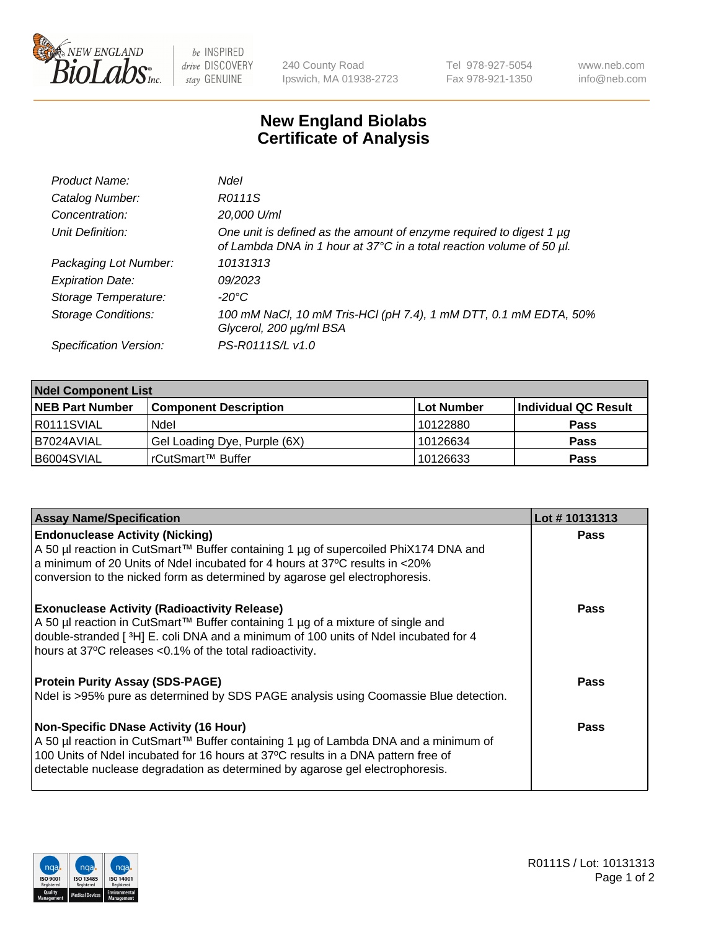

be INSPIRED drive DISCOVERY stay GENUINE

240 County Road Ipswich, MA 01938-2723 Tel 978-927-5054 Fax 978-921-1350 www.neb.com info@neb.com

## **New England Biolabs Certificate of Analysis**

| Product Name:              | Ndel                                                                                                                                        |
|----------------------------|---------------------------------------------------------------------------------------------------------------------------------------------|
| Catalog Number:            | R0111S                                                                                                                                      |
| Concentration:             | 20,000 U/ml                                                                                                                                 |
| Unit Definition:           | One unit is defined as the amount of enzyme required to digest 1 µg<br>of Lambda DNA in 1 hour at 37°C in a total reaction volume of 50 µl. |
| Packaging Lot Number:      | 10131313                                                                                                                                    |
| <b>Expiration Date:</b>    | 09/2023                                                                                                                                     |
| Storage Temperature:       | -20°C                                                                                                                                       |
| <b>Storage Conditions:</b> | 100 mM NaCl, 10 mM Tris-HCl (pH 7.4), 1 mM DTT, 0.1 mM EDTA, 50%<br>Glycerol, 200 µg/ml BSA                                                 |
| Specification Version:     | PS-R0111S/L v1.0                                                                                                                            |

| <b>Ndel Component List</b> |                              |            |                       |  |  |
|----------------------------|------------------------------|------------|-----------------------|--|--|
| <b>NEB Part Number</b>     | <b>Component Description</b> | Lot Number | ∣Individual QC Result |  |  |
| I R0111SVIAL               | Ndel                         | 10122880   | <b>Pass</b>           |  |  |
| B7024AVIAL                 | Gel Loading Dye, Purple (6X) | 10126634   | <b>Pass</b>           |  |  |
| B6004SVIAL                 | rCutSmart™ Buffer            | 10126633   | <b>Pass</b>           |  |  |

| <b>Assay Name/Specification</b>                                                                                                                                          | Lot #10131313 |
|--------------------------------------------------------------------------------------------------------------------------------------------------------------------------|---------------|
| <b>Endonuclease Activity (Nicking)</b>                                                                                                                                   | <b>Pass</b>   |
| A 50 µl reaction in CutSmart™ Buffer containing 1 µg of supercoiled PhiX174 DNA and<br>a minimum of 20 Units of Ndel incubated for 4 hours at 37°C results in <20%       |               |
| conversion to the nicked form as determined by agarose gel electrophoresis.                                                                                              |               |
| <b>Exonuclease Activity (Radioactivity Release)</b>                                                                                                                      | Pass          |
| A 50 µl reaction in CutSmart™ Buffer containing 1 µg of a mixture of single and<br>double-stranded [3H] E. coli DNA and a minimum of 100 units of Ndel incubated for 4   |               |
| hours at 37°C releases <0.1% of the total radioactivity.                                                                                                                 |               |
| <b>Protein Purity Assay (SDS-PAGE)</b>                                                                                                                                   | Pass          |
| Ndel is >95% pure as determined by SDS PAGE analysis using Coomassie Blue detection.                                                                                     |               |
| <b>Non-Specific DNase Activity (16 Hour)</b>                                                                                                                             | Pass          |
|                                                                                                                                                                          |               |
| detectable nuclease degradation as determined by agarose gel electrophoresis.                                                                                            |               |
| A 50 µl reaction in CutSmart™ Buffer containing 1 µg of Lambda DNA and a minimum of<br>100 Units of Ndel incubated for 16 hours at 37°C results in a DNA pattern free of |               |